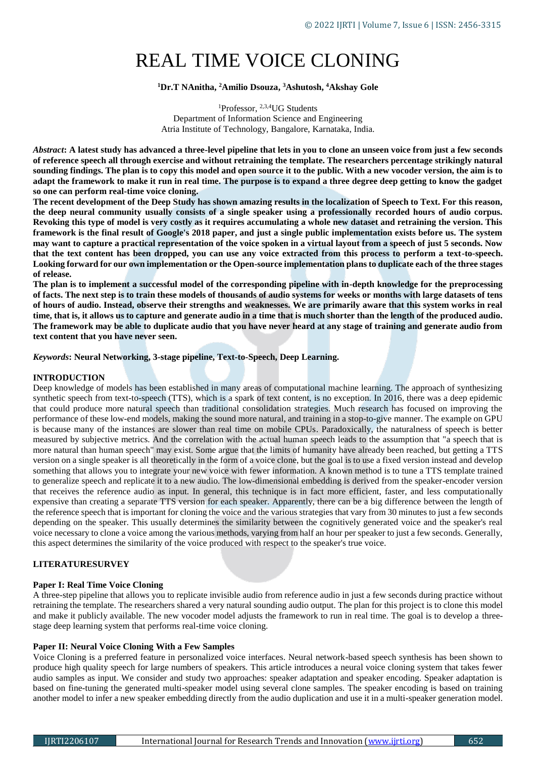# REAL TIME VOICE CLONING

# **<sup>1</sup>Dr.T NAnitha, <sup>2</sup>Amilio Dsouza, <sup>3</sup>Ashutosh, <sup>4</sup>Akshay Gole**

<sup>1</sup>Professor, <sup>2,3,4</sup>UG Students Department of Information Science and Engineering Atria Institute of Technology, Bangalore, Karnataka, India.

*Abstract***: A latest study has advanced a three-level pipeline that lets in you to clone an unseen voice from just a few seconds of reference speech all through exercise and without retraining the template. The researchers percentage strikingly natural sounding findings. The plan is to copy this model and open source it to the public. With a new vocoder version, the aim is to adapt the framework to make it run in real time. The purpose is to expand a three degree deep getting to know the gadget so one can perform real-time voice cloning.**

**The recent development of the Deep Study has shown amazing results in the localization of Speech to Text. For this reason, the deep neural community usually consists of a single speaker using a professionally recorded hours of audio corpus. Revoking this type of model is very costly as it requires accumulating a whole new dataset and retraining the version. This framework is the final result of Google's 2018 paper, and just a single public implementation exists before us. The system may want to capture a practical representation of the voice spoken in a virtual layout from a speech of just 5 seconds. Now that the text content has been dropped, you can use any voice extracted from this process to perform a text-to-speech. Looking forward for our own implementation or the Open-source implementation plans to duplicate each of the three stages of release.**

**The plan is to implement a successful model of the corresponding pipeline with in-depth knowledge for the preprocessing of facts. The next step is to train these models of thousands of audio systems for weeks or months with large datasets of tens of hours of audio. Instead, observe their strengths and weaknesses. We are primarily aware that this system works in real time, that is, it allows us to capture and generate audio in a time that is much shorter than the length of the produced audio. The framework may be able to duplicate audio that you have never heard at any stage of training and generate audio from text content that you have never seen.**

#### *Keywords***: Neural Networking, 3-stage pipeline, Text-to-Speech, Deep Learning.**

#### **INTRODUCTION**

Deep knowledge of models has been established in many areas of computational machine learning. The approach of synthesizing synthetic speech from text-to-speech (TTS), which is a spark of text content, is no exception. In 2016, there was a deep epidemic that could produce more natural speech than traditional consolidation strategies. Much research has focused on improving the performance of these low-end models, making the sound more natural, and training in a stop-to-give manner. The example on GPU is because many of the instances are slower than real time on mobile CPUs. Paradoxically, the naturalness of speech is better measured by subjective metrics. And the correlation with the actual human speech leads to the assumption that "a speech that is more natural than human speech" may exist. Some argue that the limits of humanity have already been reached, but getting a TTS version on a single speaker is all theoretically in the form of a voice clone, but the goal is to use a fixed version instead and develop something that allows you to integrate your new voice with fewer information. A known method is to tune a TTS template trained to generalize speech and replicate it to a new audio. The low-dimensional embedding is derived from the speaker-encoder version that receives the reference audio as input. In general, this technique is in fact more efficient, faster, and less computationally expensive than creating a separate TTS version for each speaker. Apparently, there can be a big difference between the length of the reference speech that is important for cloning the voice and the various strategies that vary from 30 minutes to just a few seconds depending on the speaker. This usually determines the similarity between the cognitively generated voice and the speaker's real voice necessary to clone a voice among the various methods, varying from half an hour per speaker to just a few seconds. Generally, this aspect determines the similarity of the voice produced with respect to the speaker's true voice.

# **LITERATURESURVEY**

#### **Paper I: Real Time Voice Cloning**

A three-step pipeline that allows you to replicate invisible audio from reference audio in just a few seconds during practice without retraining the template. The researchers shared a very natural sounding audio output. The plan for this project is to clone this model and make it publicly available. The new vocoder model adjusts the framework to run in real time. The goal is to develop a threestage deep learning system that performs real-time voice cloning.

## **Paper II: Neural Voice Cloning With a Few Samples**

Voice Cloning is a preferred feature in personalized voice interfaces. Neural network-based speech synthesis has been shown to produce high quality speech for large numbers of speakers. This article introduces a neural voice cloning system that takes fewer audio samples as input. We consider and study two approaches: speaker adaptation and speaker encoding. Speaker adaptation is based on fine-tuning the generated multi-speaker model using several clone samples. The speaker encoding is based on training another model to infer a new speaker embedding directly from the audio duplication and use it in a multi-speaker generation model.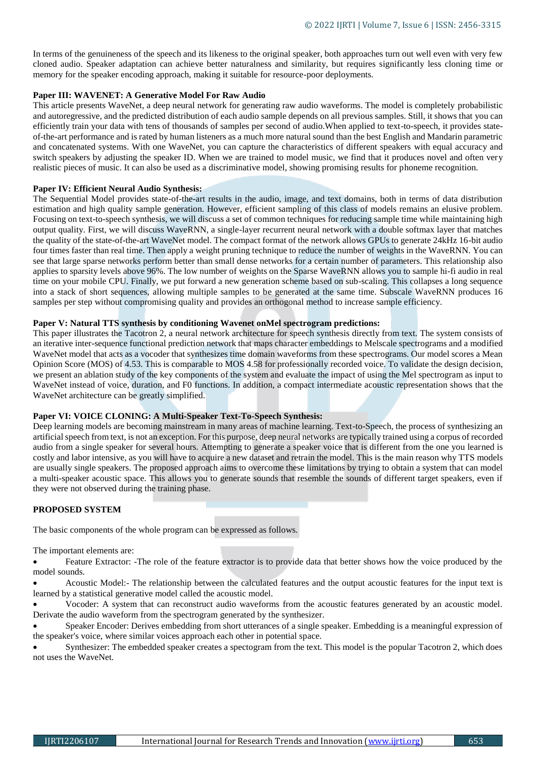In terms of the genuineness of the speech and its likeness to the original speaker, both approaches turn out well even with very few cloned audio. Speaker adaptation can achieve better naturalness and similarity, but requires significantly less cloning time or memory for the speaker encoding approach, making it suitable for resource-poor deployments.

# **Paper III: WAVENET: A Generative Model For Raw Audio**

This article presents WaveNet, a deep neural network for generating raw audio waveforms. The model is completely probabilistic and autoregressive, and the predicted distribution of each audio sample depends on all previous samples. Still, it shows that you can efficiently train your data with tens of thousands of samples per second of audio.When applied to text-to-speech, it provides stateof-the-art performance and is rated by human listeners as a much more natural sound than the best English and Mandarin parametric and concatenated systems. With one WaveNet, you can capture the characteristics of different speakers with equal accuracy and switch speakers by adjusting the speaker ID. When we are trained to model music, we find that it produces novel and often very realistic pieces of music. It can also be used as a discriminative model, showing promising results for phoneme recognition.

#### **Paper IV: Efficient Neural Audio Synthesis:**

The Sequential Model provides state-of-the-art results in the audio, image, and text domains, both in terms of data distribution estimation and high quality sample generation. However, efficient sampling of this class of models remains an elusive problem. Focusing on text-to-speech synthesis, we will discuss a set of common techniques for reducing sample time while maintaining high output quality. First, we will discuss WaveRNN, a single-layer recurrent neural network with a double softmax layer that matches the quality of the state-of-the-art WaveNet model. The compact format of the network allows GPUs to generate 24kHz 16-bit audio four times faster than real time. Then apply a weight pruning technique to reduce the number of weights in the WaveRNN. You can see that large sparse networks perform better than small dense networks for a certain number of parameters. This relationship also applies to sparsity levels above 96%. The low number of weights on the Sparse WaveRNN allows you to sample hi-fi audio in real time on your mobile CPU. Finally, we put forward a new generation scheme based on sub-scaling. This collapses a long sequence into a stack of short sequences, allowing multiple samples to be generated at the same time. Subscale WaveRNN produces 16 samples per step without compromising quality and provides an orthogonal method to increase sample efficiency.

# **Paper V: Natural TTS synthesis by conditioning Wavenet onMel spectrogram predictions:**

This paper illustrates the Tacotron 2, a neural network architecture for speech synthesis directly from text. The system consists of an iterative inter-sequence functional prediction network that maps character embeddings to Melscale spectrograms and a modified WaveNet model that acts as a vocoder that synthesizes time domain waveforms from these spectrograms. Our model scores a Mean Opinion Score (MOS) of 4.53. This is comparable to MOS 4.58 for professionally recorded voice. To validate the design decision, we present an ablation study of the key components of the system and evaluate the impact of using the Mel spectrogram as input to WaveNet instead of voice, duration, and F0 functions. In addition, a compact intermediate acoustic representation shows that the WaveNet architecture can be greatly simplified.

# **Paper VI: VOICE CLONING: A Multi-Speaker Text-To-Speech Synthesis:**

Deep learning models are becoming mainstream in many areas of machine learning. Text-to-Speech, the process of synthesizing an artificial speech from text, is not an exception. For this purpose, deep neural networks are typically trained using a corpus of recorded audio from a single speaker for several hours. Attempting to generate a speaker voice that is different from the one you learned is costly and labor intensive, as you will have to acquire a new dataset and retrain the model. This is the main reason why TTS models are usually single speakers. The proposed approach aims to overcome these limitations by trying to obtain a system that can model a multi-speaker acoustic space. This allows you to generate sounds that resemble the sounds of different target speakers, even if they were not observed during the training phase.

## **PROPOSED SYSTEM**

The basic components of the whole program can be expressed as follows.

The important elements are:

• Feature Extractor: -The role of the feature extractor is to provide data that better shows how the voice produced by the model sounds.

 Acoustic Model:- The relationship between the calculated features and the output acoustic features for the input text is learned by a statistical generative model called the acoustic model.

 Vocoder: A system that can reconstruct audio waveforms from the acoustic features generated by an acoustic model. Derivate the audio waveform from the spectrogram generated by the synthesizer.

 Speaker Encoder: Derives embedding from short utterances of a single speaker. Embedding is a meaningful expression of the speaker's voice, where similar voices approach each other in potential space.

 Synthesizer: The embedded speaker creates a spectogram from the text. This model is the popular Tacotron 2, which does not uses the WaveNet.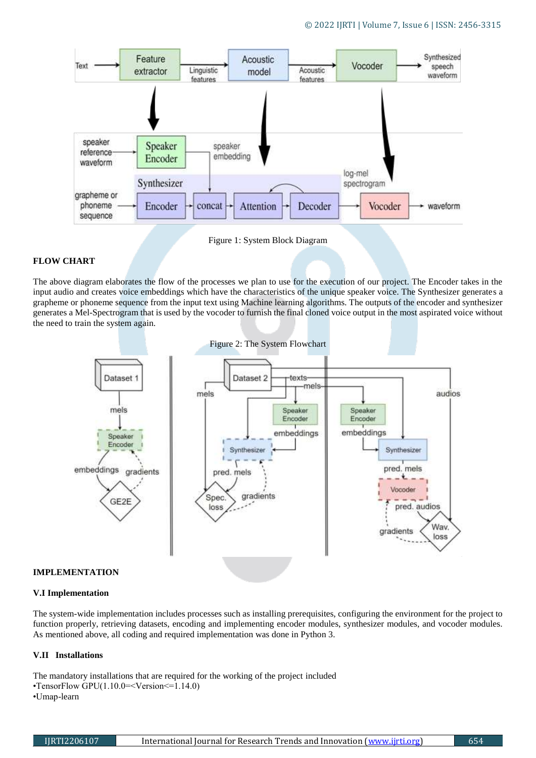

Figure 1: System Block Diagram

# **FLOW CHART**

The above diagram elaborates the flow of the processes we plan to use for the execution of our project. The Encoder takes in the input audio and creates voice embeddings which have the characteristics of the unique speaker voice. The Synthesizer generates a grapheme or phoneme sequence from the input text using Machine learning algorithms. The outputs of the encoder and synthesizer generates a Mel-Spectrogram that is used by the vocoder to furnish the final cloned voice output in the most aspirated voice without the need to train the system again.



#### **IMPLEMENTATION**

#### **V.I Implementation**

The system-wide implementation includes processes such as installing prerequisites, configuring the environment for the project to function properly, retrieving datasets, encoding and implementing encoder modules, synthesizer modules, and vocoder modules. As mentioned above, all coding and required implementation was done in Python 3.

# **V.II Installations**

The mandatory installations that are required for the working of the project included •TensorFlow GPU(1.10.0=<Version<=1.14.0) •Umap-learn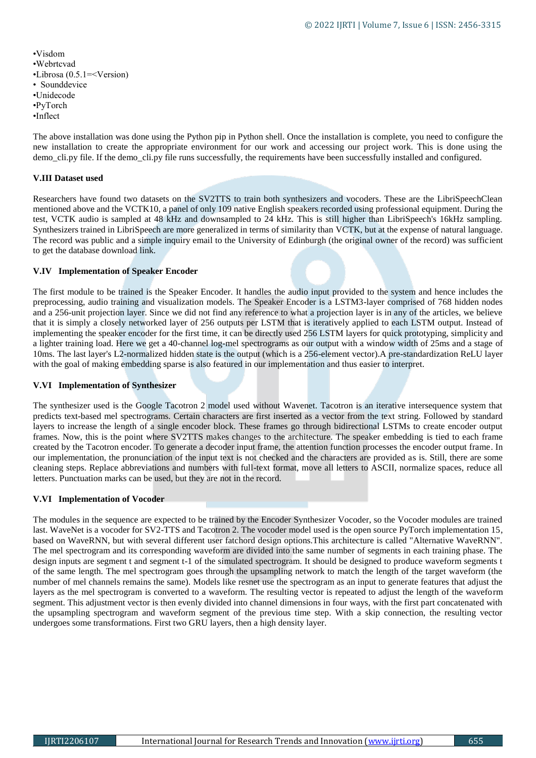•Visdom •Webrtcvad •Librosa (0.5.1=<Version) • Sounddevice •Unidecode •PyTorch •Inflect

The above installation was done using the Python pip in Python shell. Once the installation is complete, you need to configure the new installation to create the appropriate environment for our work and accessing our project work. This is done using the demo cli.py file. If the demo cli.py file runs successfully, the requirements have been successfully installed and configured.

# **V.III Dataset used**

Researchers have found two datasets on the SV2TTS to train both synthesizers and vocoders. These are the LibriSpeechClean mentioned above and the VCTK10, a panel of only 109 native English speakers recorded using professional equipment. During the test, VCTK audio is sampled at 48 kHz and downsampled to 24 kHz. This is still higher than LibriSpeech's 16kHz sampling. Synthesizers trained in LibriSpeech are more generalized in terms of similarity than VCTK, but at the expense of natural language. The record was public and a simple inquiry email to the University of Edinburgh (the original owner of the record) was sufficient to get the database download link.

# **V.IV Implementation of Speaker Encoder**

The first module to be trained is the Speaker Encoder. It handles the audio input provided to the system and hence includes the preprocessing, audio training and visualization models. The Speaker Encoder is a LSTM3-layer comprised of 768 hidden nodes and a 256-unit projection layer. Since we did not find any reference to what a projection layer is in any of the articles, we believe that it is simply a closely networked layer of 256 outputs per LSTM that is iteratively applied to each LSTM output. Instead of implementing the speaker encoder for the first time, it can be directly used 256 LSTM layers for quick prototyping, simplicity and a lighter training load. Here we get a 40-channel log-mel spectrograms as our output with a window width of 25ms and a stage of 10ms. The last layer's L2-normalized hidden state is the output (which is a 256-element vector).A pre-standardization ReLU layer with the goal of making embedding sparse is also featured in our implementation and thus easier to interpret.

#### **V.VI Implementation of Synthesizer**

The synthesizer used is the Google Tacotron 2 model used without Wavenet. Tacotron is an iterative intersequence system that predicts text-based mel spectrograms. Certain characters are first inserted as a vector from the text string. Followed by standard layers to increase the length of a single encoder block. These frames go through bidirectional LSTMs to create encoder output frames. Now, this is the point where SV2TTS makes changes to the architecture. The speaker embedding is tied to each frame created by the Tacotron encoder. To generate a decoder input frame, the attention function processes the encoder output frame. In our implementation, the pronunciation of the input text is not checked and the characters are provided as is. Still, there are some cleaning steps. Replace abbreviations and numbers with full-text format, move all letters to ASCII, normalize spaces, reduce all letters. Punctuation marks can be used, but they are not in the record.

#### **V.VI Implementation of Vocoder**

The modules in the sequence are expected to be trained by the Encoder Synthesizer Vocoder, so the Vocoder modules are trained last. WaveNet is a vocoder for SV2-TTS and Tacotron 2. The vocoder model used is the open source PyTorch implementation 15, based on WaveRNN, but with several different user fatchord design options.This architecture is called "Alternative WaveRNN". The mel spectrogram and its corresponding waveform are divided into the same number of segments in each training phase. The design inputs are segment t and segment t-1 of the simulated spectrogram. It should be designed to produce waveform segments t of the same length. The mel spectrogram goes through the upsampling network to match the length of the target waveform (the number of mel channels remains the same). Models like resnet use the spectrogram as an input to generate features that adjust the layers as the mel spectrogram is converted to a waveform. The resulting vector is repeated to adjust the length of the waveform segment. This adjustment vector is then evenly divided into channel dimensions in four ways, with the first part concatenated with the upsampling spectrogram and waveform segment of the previous time step. With a skip connection, the resulting vector undergoes some transformations. First two GRU layers, then a high density layer.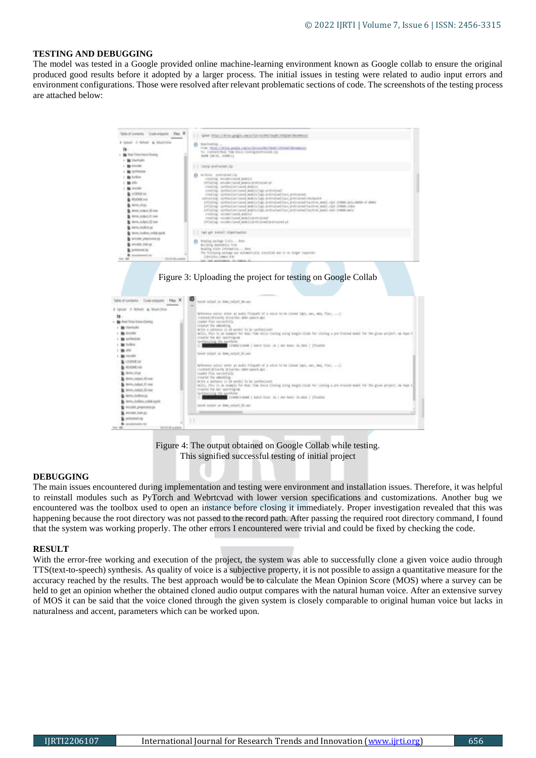# **TESTING AND DEBUGGING**

The model was tested in a Google provided online machine-learning environment known as Google collab to ensure the original produced good results before it adopted by a larger process. The initial issues in testing were related to audio input errors and environment configurations. Those were resolved after relevant problematic sections of code. The screenshots of the testing process are attached below:

| Ministromers Colemans No. X<br># camed @ Refredt & Mount Dice                                                                                                               | T.T. Spisov Philadelphian amazin, control tax international transmission of the second<br><b>CONTRACTOR</b><br>THE MAILORD ANGLONG DEGION DERIVATION CONTACTOR                                                                                                                                                                                                                                                                                                                                                                                                                                                                                                                                                                                                                                                                             |
|-----------------------------------------------------------------------------------------------------------------------------------------------------------------------------|--------------------------------------------------------------------------------------------------------------------------------------------------------------------------------------------------------------------------------------------------------------------------------------------------------------------------------------------------------------------------------------------------------------------------------------------------------------------------------------------------------------------------------------------------------------------------------------------------------------------------------------------------------------------------------------------------------------------------------------------------------------------------------------------------------------------------------------------|
| <b>B</b> First Trive Italy Classes<br><b>BE Lisabilities</b>                                                                                                                | To: Justice(Pool, They elser Cleaning pressured (1):<br>men lausi, itemiti                                                                                                                                                                                                                                                                                                                                                                                                                                                                                                                                                                                                                                                                                                                                                                 |
| presider:<br><b>MITMAR</b>                                                                                                                                                  | 1.1 long-pureaud.da-<br>within prevaled its<br>$\mathbf{r}$                                                                                                                                                                                                                                                                                                                                                                                                                                                                                                                                                                                                                                                                                                                                                                                |
| today<br>WHEN !<br>neconter<br>LIGENSE RHY<br><b>REACHER</b> and<br><b>BATHL</b> JTL26<br>Arm: 640-1.30-AM<br>Airms Judget 31 mm<br>dermb/doct.22 learn<br>dermi, baddon ac | TENNISCO MUSEU (SENAR MARCELLI)<br>INTEREST weaker-tutched molecule presentation.<br>rrasting) suitballiscruppe wouldn't<br>creating: synthesizer/www6.mobilizijgs-archivalent<br>INVESTIGATION CONTACTING OBJECTIVES ON THE ENTERTAINMENT AND RELEASED<br>extracting) synthesize reased autoicings pretroleutitans pretroleutel required to a construction of the construction<br>DYSAGON: WHEN-EDIFTWARE MONTHLISTS AFRAUTABLE EXERCITOR PERSONAL MONTH, CONFIDENTIAL AREA ARRESTS ON A<br>Infining, systemline/sport emelorizes preterionizies; preterional/Leurence andci.chir.crement.com<br>Infacting, spokestianismom modelslings androsizations previouslingition model rhat remembers<br>creating! visitate/cureta semilar<br>creating: constructor modificational and<br>inflating: moder/caves witclin/aintrainationstruined.pt |
| Anno Josepher, collab to the                                                                                                                                                | last get trendit likesytacted<br>[[아이들] 아이들은 아이들은 아이들이 아이들                                                                                                                                                                                                                                                                                                                                                                                                                                                                                                                                                                                                                                                                                                                                                                                 |
| woulder progressed un-<br>49104.34109<br>premarine (s)<br><b>INVENTIOUS</b> \$1.<br>STCR DE available                                                                       | Natility package 11111 from<br>Boiling dominant true<br>bialing state invention  loss<br>the following national was automobility installed and in to larger requirement<br>[100/2216-100801-418]<br>to "ack automobile" to control it                                                                                                                                                                                                                                                                                                                                                                                                                                                                                                                                                                                                      |

#### Figure 3: Uploading the project for testing on Google Collab

| Colemans Has N                                                                                                                                                                                         | textile nettect and in forest interest                                                                                                                                                                                                                                                                                                                                                                                                                                                                                                                                                         |
|--------------------------------------------------------------------------------------------------------------------------------------------------------------------------------------------------------|------------------------------------------------------------------------------------------------------------------------------------------------------------------------------------------------------------------------------------------------------------------------------------------------------------------------------------------------------------------------------------------------------------------------------------------------------------------------------------------------------------------------------------------------------------------------------------------------|
| United: Il Novem - At Mont-Inne-<br>19<br>to find free more chiving<br><b>BU</b> Internation<br>grounding.<br><b><i>ALCOHOL:</i></b><br><b>Dubit</b>                                                   | Network sided sider at audio fillment of a sides to be closed (NO, law), WA. This,  It<br>instruction of the property of the control and control and control of the<br>started the notwively.<br><b>Created the extenting</b><br>with a settern (in it won) to be settled bet.<br>with, this is as exaple for buil the miss clering subg engle title for clering a per-trained entit for the giver project, as has t<br>crossive the aut spectrigner<br>turnmilling He sportster<br>A CONSULTANT CONTINUES IN THE REAL PROPERTY OF THE REAL PROPERTY OF THE PARTY OF THE PARTY OF THE PARTY OF |
| allin.<br><b>VISIONS</b><br>LSCEINISE Fair<br><b>READWEVAL</b><br>Arrest of Ar-<br><b>British, Aldonal 195 cases</b><br><b>Bellis Added (F) cap</b><br><b>Amic.Julpet, ID was</b><br>dama (milihai yay | favor midpot at time output \$1,000-<br>Transfer (1975) and the CR Every ST RT (1985) and the<br>taske file secondalis<br>treated the establing.<br>of the at authors: (AGP works) by he systemations<br>Hello, 799x To at example for Med. The beins (Dening onling bough today for classing a pre-resolutional<br>trained the aut reaching on<br>backback (Eng. 154 payerback).<br><b>CONTRACTOR</b> STANDALLABOR   AUGUST 2020   SEC ANNO 19,000   TYCARDS                                                                                                                                  |
| area delles collat anni-<br>FROORITI JPRAFTERVAL ATA<br>Ale disciplination<br>production f.cg.<br><b>B.</b> economistical<br>TLE-JT-10-a-a/am                                                          | layed certer as the celler Street<br>п                                                                                                                                                                                                                                                                                                                                                                                                                                                                                                                                                         |

Figure 4: The output obtained on Google Collab while testing. This signified successful testing of initial project

#### **DEBUGGING**

The main issues encountered during implementation and testing were environment and installation issues. Therefore, it was helpful to reinstall modules such as PyTorch and Webrtcvad with lower version specifications and customizations. Another bug we encountered was the toolbox used to open an instance before closing it immediately. Proper investigation revealed that this was happening because the root directory was not passed to the record path. After passing the required root directory command, I found that the system was working properly. The other errors I encountered were trivial and could be fixed by checking the code.

#### **RESULT**

With the error-free working and execution of the project, the system was able to successfully clone a given voice audio through TTS(text-to-speech) synthesis. As quality of voice is a subjective property, it is not possible to assign a quantitative measure for the accuracy reached by the results. The best approach would be to calculate the Mean Opinion Score (MOS) where a survey can be held to get an opinion whether the obtained cloned audio output compares with the natural human voice. After an extensive survey of MOS it can be said that the voice cloned through the given system is closely comparable to original human voice but lacks in naturalness and accent, parameters which can be worked upon.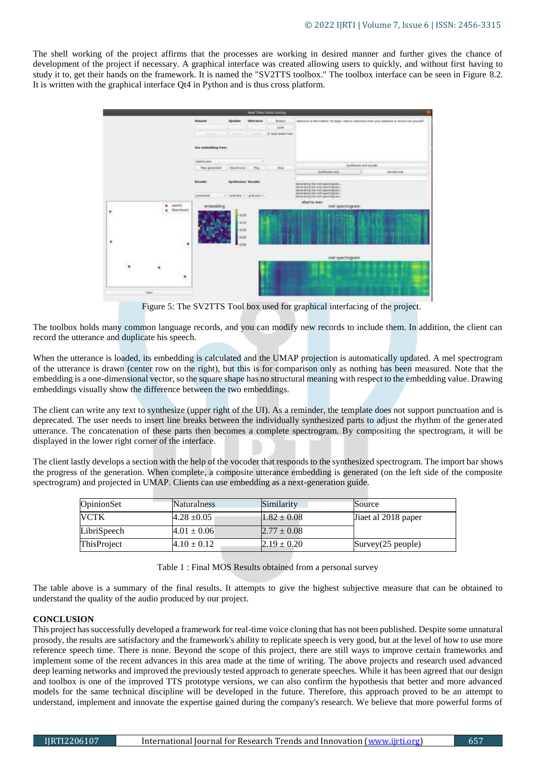The shell working of the project affirms that the processes are working in desired manner and further gives the chance of development of the project if necessary. A graphical interface was created allowing users to quickly, and without first having to study it to, get their hands on the framework. It is named the "SV2TTS toolbox." The toolbox interface can be seen in Figure 8.2. It is written with the graphical interface Qt4 in Python and is thus cross platform.



Figure 5: The SV2TTS Tool box used for graphical interfacing of the project.

The toolbox holds many common language records, and you can modify new records to include them. In addition, the client can record the utterance and duplicate his speech.

When the utterance is loaded, its embedding is calculated and the UMAP projection is automatically updated. A mel spectrogram of the utterance is drawn (center row on the right), but this is for comparison only as nothing has been measured. Note that the embedding is a one-dimensional vector, so the square shape has no structural meaning with respect to the embedding value. Drawing embeddings visually show the difference between the two embeddings.

The client can write any text to synthesize (upper right of the UI). As a reminder, the template does not support punctuation and is deprecated. The user needs to insert line breaks between the individually synthesized parts to adjust the rhythm of the generated utterance. The concatenation of these parts then becomes a complete spectrogram. By compositing the spectrogram, it will be displayed in the lower right corner of the interface.

The client lastly develops a section with the help of the vocoder that responds to the synthesized spectrogram. The import bar shows the progress of the generation. When complete, a composite utterance embedding is generated (on the left side of the composite spectrogram) and projected in UMAP. Clients can use embedding as a next-generation guide.

| OpinionSet  | <b>Naturalness</b> | Similarity      | Source               |
|-------------|--------------------|-----------------|----------------------|
| <b>VCTK</b> | $4.28 \pm 0.05$    | $1.82 \pm 0.08$ | Jiaet al 2018 paper  |
| LibriSpeech | $4.01 \pm 0.06$    | $2.77 \pm 0.08$ |                      |
| ThisProject | $4.10 \pm 0.12$    | $2.19 \pm 0.20$ | Survey $(25$ people) |

Table 1 : Final MOS Results obtained from a personal survey

The table above is a summary of the final results. It attempts to give the highest subjective measure that can be obtained to understand the quality of the audio produced by our project.

#### **CONCLUSION**

This project has successfully developed a framework for real-time voice cloning that has not been published. Despite some unnatural prosody, the results are satisfactory and the framework's ability to replicate speech is very good, but at the level of how to use more reference speech time. There is none. Beyond the scope of this project, there are still ways to improve certain frameworks and implement some of the recent advances in this area made at the time of writing. The above projects and research used advanced deep learning networks and improved the previously tested approach to generate speeches. While it has been agreed that our design and toolbox is one of the improved TTS prototype versions, we can also confirm the hypothesis that better and more advanced models for the same technical discipline will be developed in the future. Therefore, this approach proved to be an attempt to understand, implement and innovate the expertise gained during the company's research. We believe that more powerful forms of